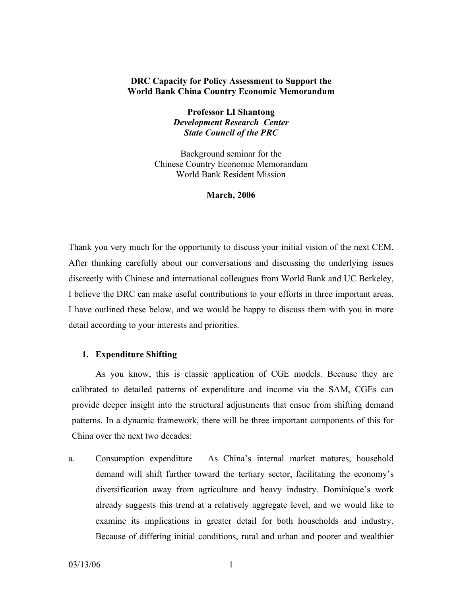# **DRC Capacity for Policy Assessment to Support the World Bank China Country Economic Memorandum**

**Professor LI Shantong** *Development Research Center State Council of the PRC*

Background seminar for the Chinese Country Economic Memorandum World Bank Resident Mission

#### **March, 2006**

Thank you very much for the opportunity to discuss your initial vision of the next CEM. After thinking carefully about our conversations and discussing the underlying issues discreetly with Chinese and international colleagues from World Bank and UC Berkeley, I believe the DRC can make useful contributions to your efforts in three important areas. I have outlined these below, and we would be happy to discuss them with you in more detail according to your interests and priorities.

# **1. Expenditure Shifting**

As you know, this is classic application of CGE models. Because they are calibrated to detailed patterns of expenditure and income via the SAM, CGEs can provide deeper insight into the structural adjustments that ensue from shifting demand patterns. In a dynamic framework, there will be three important components of this for China over the next two decades:

a. Consumption expenditure – As China's internal market matures, household demand will shift further toward the tertiary sector, facilitating the economy's diversification away from agriculture and heavy industry. Dominique's work already suggests this trend at a relatively aggregate level, and we would like to examine its implications in greater detail for both households and industry. Because of differing initial conditions, rural and urban and poorer and wealthier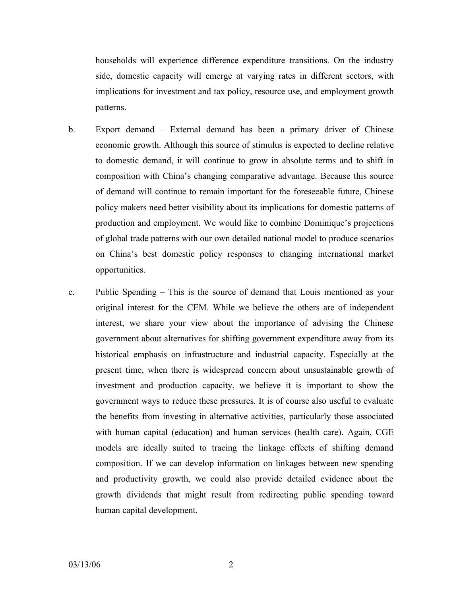households will experience difference expenditure transitions. On the industry side, domestic capacity will emerge at varying rates in different sectors, with implications for investment and tax policy, resource use, and employment growth patterns.

- b. Export demand External demand has been a primary driver of Chinese economic growth. Although this source of stimulus is expected to decline relative to domestic demand, it will continue to grow in absolute terms and to shift in composition with China's changing comparative advantage. Because this source of demand will continue to remain important for the foreseeable future, Chinese policy makers need better visibility about its implications for domestic patterns of production and employment. We would like to combine Dominique's projections of global trade patterns with our own detailed national model to produce scenarios on China's best domestic policy responses to changing international market opportunities.
- c. Public Spending This is the source of demand that Louis mentioned as your original interest for the CEM. While we believe the others are of independent interest, we share your view about the importance of advising the Chinese government about alternatives for shifting government expenditure away from its historical emphasis on infrastructure and industrial capacity. Especially at the present time, when there is widespread concern about unsustainable growth of investment and production capacity, we believe it is important to show the government ways to reduce these pressures. It is of course also useful to evaluate the benefits from investing in alternative activities, particularly those associated with human capital (education) and human services (health care). Again, CGE models are ideally suited to tracing the linkage effects of shifting demand composition. If we can develop information on linkages between new spending and productivity growth, we could also provide detailed evidence about the growth dividends that might result from redirecting public spending toward human capital development.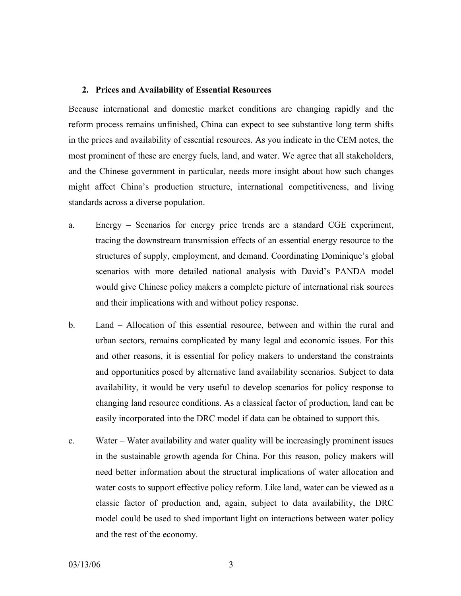# **2. Prices and Availability of Essential Resources**

Because international and domestic market conditions are changing rapidly and the reform process remains unfinished, China can expect to see substantive long term shifts in the prices and availability of essential resources. As you indicate in the CEM notes, the most prominent of these are energy fuels, land, and water. We agree that all stakeholders, and the Chinese government in particular, needs more insight about how such changes might affect China's production structure, international competitiveness, and living standards across a diverse population.

- a. Energy Scenarios for energy price trends are a standard CGE experiment, tracing the downstream transmission effects of an essential energy resource to the structures of supply, employment, and demand. Coordinating Dominique's global scenarios with more detailed national analysis with David's PANDA model would give Chinese policy makers a complete picture of international risk sources and their implications with and without policy response.
- b. Land Allocation of this essential resource, between and within the rural and urban sectors, remains complicated by many legal and economic issues. For this and other reasons, it is essential for policy makers to understand the constraints and opportunities posed by alternative land availability scenarios. Subject to data availability, it would be very useful to develop scenarios for policy response to changing land resource conditions. As a classical factor of production, land can be easily incorporated into the DRC model if data can be obtained to support this.
- c. Water Water availability and water quality will be increasingly prominent issues in the sustainable growth agenda for China. For this reason, policy makers will need better information about the structural implications of water allocation and water costs to support effective policy reform. Like land, water can be viewed as a classic factor of production and, again, subject to data availability, the DRC model could be used to shed important light on interactions between water policy and the rest of the economy.